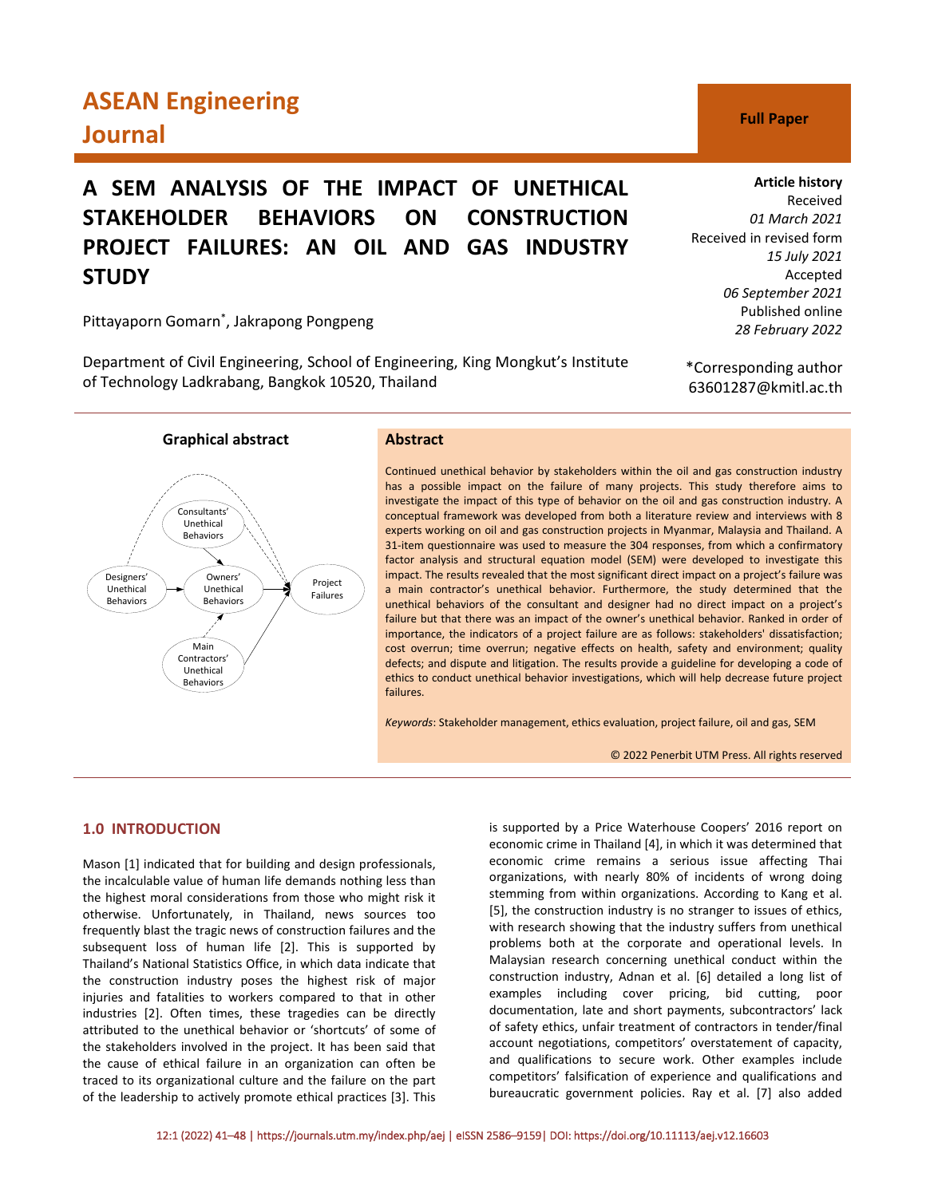# **ASEAN Engineering Journal C Full Paper**

# **A SEM ANALYSIS OF THE IMPACT OF UNETHICAL STAKEHOLDER BEHAVIORS ON CONSTRUCTION PROJECT FAILURES: AN OIL AND GAS INDUSTRY STUDY**

Pittayaporn Gomarn\* , Jakrapong Pongpeng

Department of Civil Engineering, School of Engineering, King Mongkut's Institute of Technology Ladkrabang, Bangkok 10520, Thailand

**Graphical abstract**

# **Abstract**

Continued unethical behavior by stakeholders within the oil and gas construction industry has a possible impact on the failure of many projects. This study therefore aims to investigate the impact of this type of behavior on the oil and gas construction industry. A conceptual framework was developed from both a literature review and interviews with 8 experts working on oil and gas construction projects in Myanmar, Malaysia and Thailand. A 31-item questionnaire was used to measure the 304 responses, from which a confirmatory factor analysis and structural equation model (SEM) were developed to investigate this impact. The results revealed that the most significant direct impact on a project's failure was a main contractor's unethical behavior. Furthermore, the study determined that the unethical behaviors of the consultant and designer had no direct impact on a project's failure but that there was an impact of the owner's unethical behavior. Ranked in order of importance, the indicators of a project failure are as follows: stakeholders' dissatisfaction; cost overrun; time overrun; negative effects on health, safety and environment; quality defects; and dispute and litigation. The results provide a guideline for developing a code of ethics to conduct unethical behavior investigations, which will help decrease future project failures.

*Keywords*: Stakeholder management, ethics evaluation, project failure, oil and gas, SEM

© 2022 Penerbit UTM Press. All rights reserved

## **1.0 INTRODUCTION**

Mason [1] indicated that for building and design professionals, the incalculable value of human life demands nothing less than the highest moral considerations from those who might risk it otherwise. Unfortunately, in Thailand, news sources too frequently blast the tragic news of construction failures and the subsequent loss of human life [2]. This is supported by Thailand's National Statistics Office, in which data indicate that the construction industry poses the highest risk of major injuries and fatalities to workers compared to that in other industries [2]. Often times, these tragedies can be directly attributed to the unethical behavior or 'shortcuts' of some of the stakeholders involved in the project. It has been said that the cause of ethical failure in an organization can often be traced to its organizational culture and the failure on the part of the leadership to actively promote ethical practices [3]. This

is supported by a Price Waterhouse Coopers' 2016 report on economic crime in Thailand [4], in which it was determined that economic crime remains a serious issue affecting Thai organizations, with nearly 80% of incidents of wrong doing stemming from within organizations. According to Kang et al. [5], the construction industry is no stranger to issues of ethics, with research showing that the industry suffers from unethical problems both at the corporate and operational levels. In Malaysian research concerning unethical conduct within the construction industry, Adnan et al. [6] detailed a long list of examples including cover pricing, bid cutting, poor documentation, late and short payments, subcontractors' lack of safety ethics, unfair treatment of contractors in tender/final account negotiations, competitors' overstatement of capacity, and qualifications to secure work. Other examples include competitors' falsification of experience and qualifications and bureaucratic government policies. Ray et al. [7] also added

# **Article history**

Received *01 March 2021* Received in revised form *15 July 2021* Accepted *06 September 2021* Published online *28 February 2022*

\*Corresponding author 63601287@kmitl.ac.th

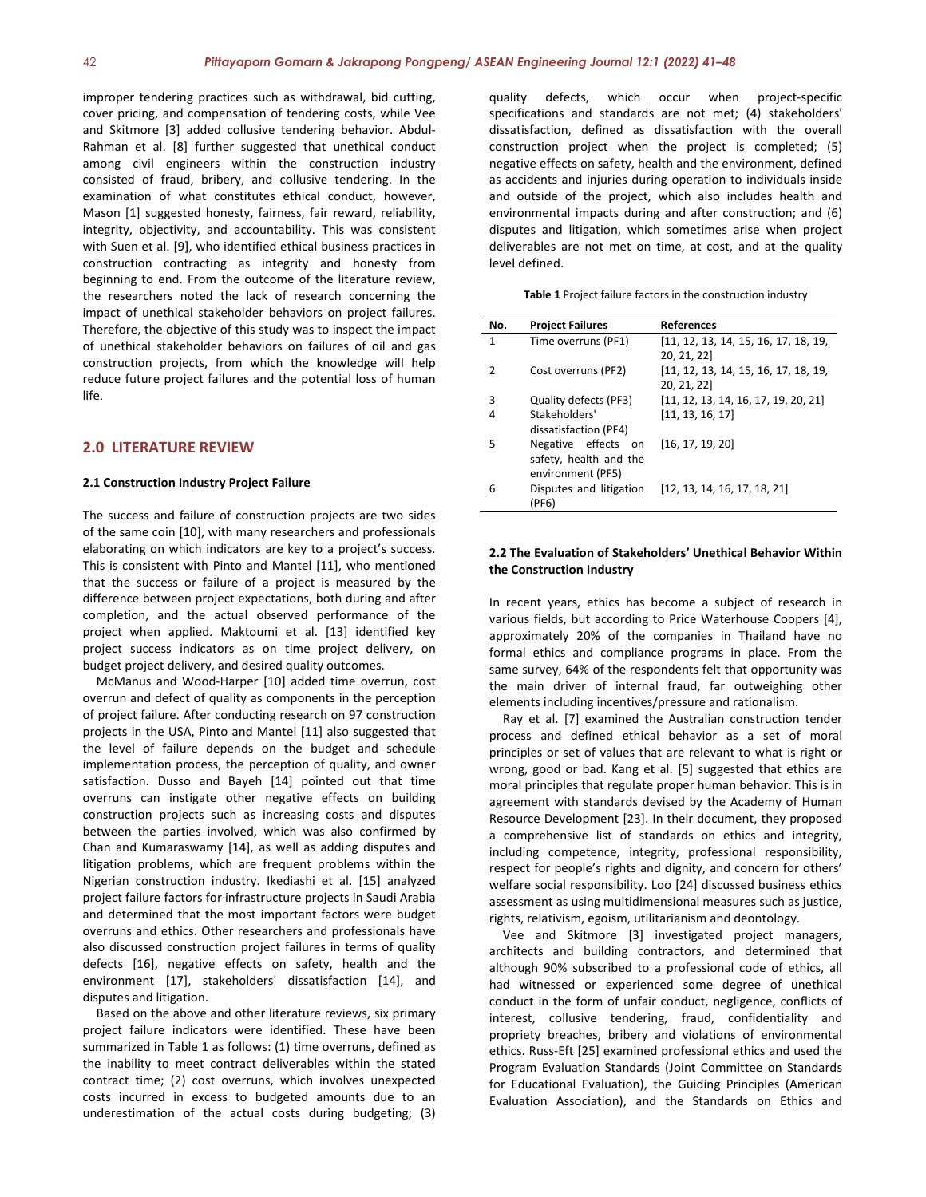improper tendering practices such as withdrawal, bid cutting, cover pricing, and compensation of tendering costs, while Vee and Skitmore [3] added collusive tendering behavior. Abdul-Rahman et al. [8] further suggested that unethical conduct among civil engineers within the construction industry consisted of fraud, bribery, and collusive tendering. In the examination of what constitutes ethical conduct, however, Mason [1] suggested honesty, fairness, fair reward, reliability, integrity, objectivity, and accountability. This was consistent with Suen et al. [9], who identified ethical business practices in construction contracting as integrity and honesty from beginning to end. From the outcome of the literature review, the researchers noted the lack of research concerning the impact of unethical stakeholder behaviors on project failures. Therefore, the objective of this study was to inspect the impact of unethical stakeholder behaviors on failures of oil and gas construction projects, from which the knowledge will help reduce future project failures and the potential loss of human life.

# **2.0 LITERATURE REVIEW**

#### **2.1 Construction Industry Project Failure**

The success and failure of construction projects are two sides of the same coin [10], with many researchers and professionals elaborating on which indicators are key to a project's success. This is consistent with Pinto and Mantel [11], who mentioned that the success or failure of a project is measured by the difference between project expectations, both during and after completion, and the actual observed performance of the project when applied. Maktoumi et al. [13] identified key project success indicators as on time project delivery, on budget project delivery, and desired quality outcomes.

McManus and Wood-Harper [10] added time overrun, cost overrun and defect of quality as components in the perception of project failure. After conducting research on 97 construction projects in the USA, Pinto and Mantel [11] also suggested that the level of failure depends on the budget and schedule implementation process, the perception of quality, and owner satisfaction. Dusso and Bayeh [14] pointed out that time overruns can instigate other negative effects on building construction projects such as increasing costs and disputes between the parties involved, which was also confirmed by Chan and Kumaraswamy [14], as well as adding disputes and litigation problems, which are frequent problems within the Nigerian construction industry. Ikediashi et al. [15] analyzed project failure factors for infrastructure projects in Saudi Arabia and determined that the most important factors were budget overruns and ethics. Other researchers and professionals have also discussed construction project failures in terms of quality defects [16], negative effects on safety, health and the environment [17], stakeholders' dissatisfaction [14], and disputes and litigation.

Based on the above and other literature reviews, six primary project failure indicators were identified. These have been summarized in Table 1 as follows: (1) time overruns, defined as the inability to meet contract deliverables within the stated contract time; (2) cost overruns, which involves unexpected costs incurred in excess to budgeted amounts due to an underestimation of the actual costs during budgeting; (3)

quality defects, which occur when project-specific specifications and standards are not met; (4) stakeholders' dissatisfaction, defined as dissatisfaction with the overall construction project when the project is completed; (5) negative effects on safety, health and the environment, defined as accidents and injuries during operation to individuals inside and outside of the project, which also includes health and environmental impacts during and after construction; and (6) disputes and litigation, which sometimes arise when project deliverables are not met on time, at cost, and at the quality level defined.

**Table 1** Project failure factors in the construction industry

| No. | <b>Project Failures</b> | <b>References</b>                    |
|-----|-------------------------|--------------------------------------|
| 1   | Time overruns (PF1)     | [11, 12, 13, 14, 15, 16, 17, 18, 19, |
|     |                         | 20, 21, 22]                          |
| 2   | Cost overruns (PF2)     | [11, 12, 13, 14, 15, 16, 17, 18, 19, |
|     |                         | 20, 21, 22]                          |
| 3   | Quality defects (PF3)   | [11, 12, 13, 14, 16, 17, 19, 20, 21] |
| 4   | Stakeholders'           | [11, 13, 16, 17]                     |
|     | dissatisfaction (PF4)   |                                      |
| 5   | Negative effects on     | [16, 17, 19, 20]                     |
|     | safety, health and the  |                                      |
|     | environment (PF5)       |                                      |
| 6   | Disputes and litigation | [12, 13, 14, 16, 17, 18, 21]         |
|     | (PF6)                   |                                      |

#### **2.2 The Evaluation of Stakeholders' Unethical Behavior Within the Construction Industry**

In recent years, ethics has become a subject of research in various fields, but according to Price Waterhouse Coopers [4], approximately 20% of the companies in Thailand have no formal ethics and compliance programs in place. From the same survey, 64% of the respondents felt that opportunity was the main driver of internal fraud, far outweighing other elements including incentives/pressure and rationalism.

Ray et al. [7] examined the Australian construction tender process and defined ethical behavior as a set of moral principles or set of values that are relevant to what is right or wrong, good or bad. Kang et al. [5] suggested that ethics are moral principles that regulate proper human behavior. This is in agreement with standards devised by the Academy of Human Resource Development [23]. In their document, they proposed a comprehensive list of standards on ethics and integrity, including competence, integrity, professional responsibility, respect for people's rights and dignity, and concern for others' welfare social responsibility. Loo [24] discussed business ethics assessment as using multidimensional measures such as justice, rights, relativism, egoism, utilitarianism and deontology.

Vee and Skitmore [3] investigated project managers, architects and building contractors, and determined that although 90% subscribed to a professional code of ethics, all had witnessed or experienced some degree of unethical conduct in the form of unfair conduct, negligence, conflicts of interest, collusive tendering, fraud, confidentiality and propriety breaches, bribery and violations of environmental ethics. Russ-Eft [25] examined professional ethics and used the Program Evaluation Standards (Joint Committee on Standards for Educational Evaluation), the Guiding Principles (American Evaluation Association), and the Standards on Ethics and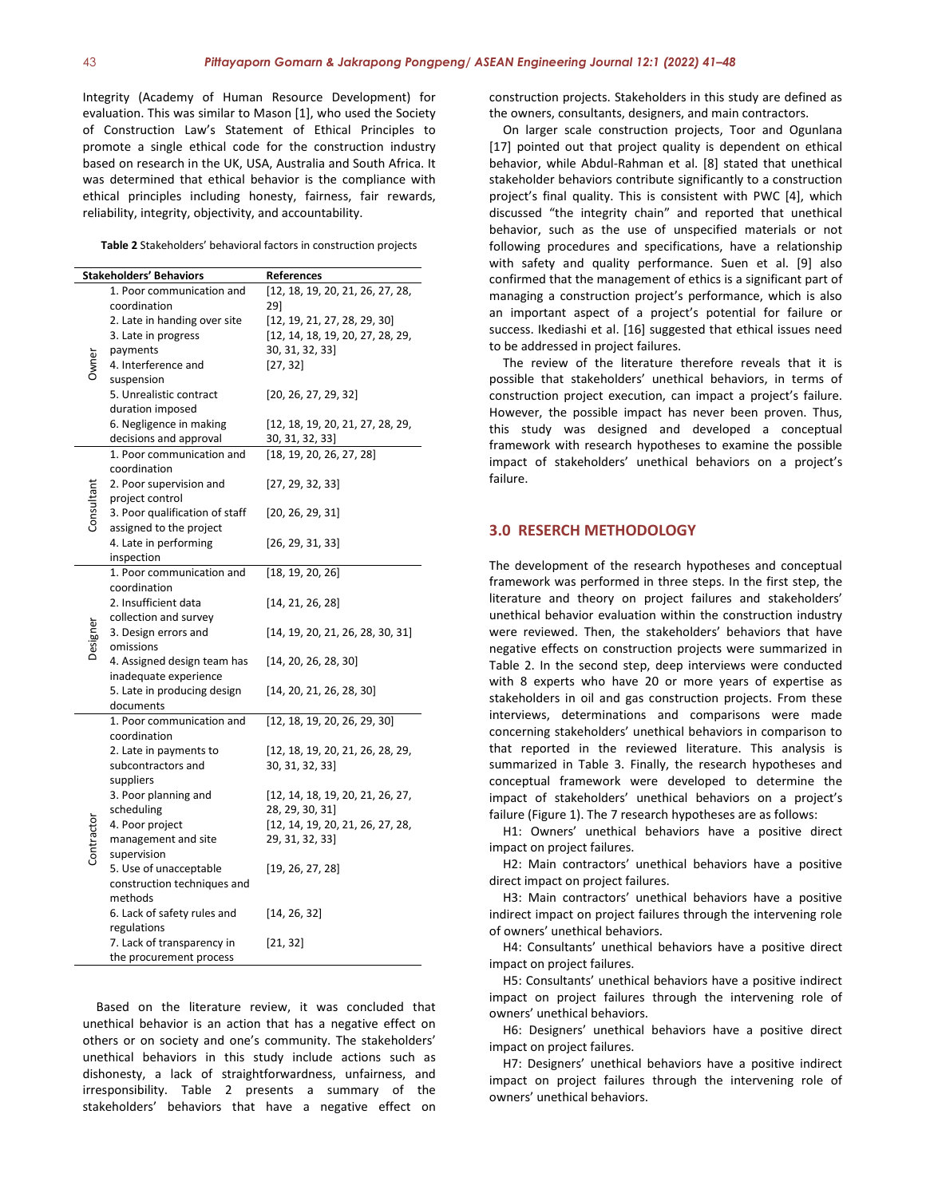Integrity (Academy of Human Resource Development) for evaluation. This was similar to Mason [1], who used the Society of Construction Law's Statement of Ethical Principles to promote a single ethical code for the construction industry based on research in the UK, USA, Australia and South Africa. It was determined that ethical behavior is the compliance with ethical principles including honesty, fairness, fair rewards, reliability, integrity, objectivity, and accountability.

**Table 2** Stakeholders' behavioral factors in construction projects

| <b>Stakeholders' Behaviors</b> |                                         | References                       |  |  |  |
|--------------------------------|-----------------------------------------|----------------------------------|--|--|--|
|                                | 1. Poor communication and               | [12, 18, 19, 20, 21, 26, 27, 28, |  |  |  |
|                                | coordination                            | 29]                              |  |  |  |
| Owner                          | 2. Late in handing over site            | [12, 19, 21, 27, 28, 29, 30]     |  |  |  |
|                                | 3. Late in progress                     | [12, 14, 18, 19, 20, 27, 28, 29, |  |  |  |
|                                | payments                                | 30, 31, 32, 33]                  |  |  |  |
|                                | 4. Interference and                     | [27, 32]                         |  |  |  |
|                                | suspension                              |                                  |  |  |  |
|                                | 5. Unrealistic contract                 | [20, 26, 27, 29, 32]             |  |  |  |
|                                | duration imposed                        |                                  |  |  |  |
|                                | 6. Negligence in making                 | [12, 18, 19, 20, 21, 27, 28, 29, |  |  |  |
|                                | decisions and approval                  | 30, 31, 32, 33]                  |  |  |  |
| Consultant                     | 1. Poor communication and               | [18, 19, 20, 26, 27, 28]         |  |  |  |
|                                | coordination                            |                                  |  |  |  |
|                                | 2. Poor supervision and                 | [27, 29, 32, 33]                 |  |  |  |
|                                | project control                         |                                  |  |  |  |
|                                | 3. Poor qualification of staff          | [20, 26, 29, 31]                 |  |  |  |
|                                | assigned to the project                 |                                  |  |  |  |
|                                | 4. Late in performing                   | [26, 29, 31, 33]                 |  |  |  |
|                                | inspection<br>1. Poor communication and |                                  |  |  |  |
|                                | coordination                            | [18, 19, 20, 26]                 |  |  |  |
|                                | 2. Insufficient data                    | [14, 21, 26, 28]                 |  |  |  |
|                                | collection and survey                   |                                  |  |  |  |
|                                | 3. Design errors and                    | [14, 19, 20, 21, 26, 28, 30, 31] |  |  |  |
|                                | omissions                               |                                  |  |  |  |
|                                | 4. Assigned design team has             | [14, 20, 26, 28, 30]             |  |  |  |
|                                | inadequate experience                   |                                  |  |  |  |
|                                | 5. Late in producing design             | [14, 20, 21, 26, 28, 30]         |  |  |  |
|                                | documents                               |                                  |  |  |  |
|                                | 1. Poor communication and               | [12, 18, 19, 20, 26, 29, 30]     |  |  |  |
|                                | coordination                            |                                  |  |  |  |
|                                | 2. Late in payments to                  | [12, 18, 19, 20, 21, 26, 28, 29, |  |  |  |
|                                | subcontractors and                      | 30, 31, 32, 33]                  |  |  |  |
|                                | suppliers                               |                                  |  |  |  |
|                                | 3. Poor planning and                    | [12, 14, 18, 19, 20, 21, 26, 27, |  |  |  |
|                                | scheduling                              | 28, 29, 30, 31]                  |  |  |  |
|                                | 4. Poor project                         | [12, 14, 19, 20, 21, 26, 27, 28, |  |  |  |
|                                | management and site                     | 29, 31, 32, 33]                  |  |  |  |
|                                | supervision                             |                                  |  |  |  |
|                                | 5. Use of unacceptable                  | [19, 26, 27, 28]                 |  |  |  |
|                                | construction techniques and<br>methods  |                                  |  |  |  |
|                                | 6. Lack of safety rules and             | [14, 26, 32]                     |  |  |  |
|                                | regulations                             |                                  |  |  |  |
|                                | 7. Lack of transparency in              | [21, 32]                         |  |  |  |
|                                | the procurement process                 |                                  |  |  |  |

Based on the literature review, it was concluded that unethical behavior is an action that has a negative effect on others or on society and one's community. The stakeholders' unethical behaviors in this study include actions such as dishonesty, a lack of straightforwardness, unfairness, and irresponsibility. Table 2 presents a summary of the stakeholders' behaviors that have a negative effect on construction projects. Stakeholders in this study are defined as the owners, consultants, designers, and main contractors.

On larger scale construction projects, Toor and Ogunlana [17] pointed out that project quality is dependent on ethical behavior, while Abdul-Rahman et al. [8] stated that unethical stakeholder behaviors contribute significantly to a construction project's final quality. This is consistent with PWC [4], which discussed "the integrity chain" and reported that unethical behavior, such as the use of unspecified materials or not following procedures and specifications, have a relationship with safety and quality performance. Suen et al. [9] also confirmed that the management of ethics is a significant part of managing a construction project's performance, which is also an important aspect of a project's potential for failure or success. Ikediashi et al. [16] suggested that ethical issues need to be addressed in project failures.

The review of the literature therefore reveals that it is possible that stakeholders' unethical behaviors, in terms of construction project execution, can impact a project's failure. However, the possible impact has never been proven. Thus, this study was designed and developed a conceptual framework with research hypotheses to examine the possible impact of stakeholders' unethical behaviors on a project's failure.

### **3.0 RESERCH METHODOLOGY**

The development of the research hypotheses and conceptual framework was performed in three steps. In the first step, the literature and theory on project failures and stakeholders' unethical behavior evaluation within the construction industry were reviewed. Then, the stakeholders' behaviors that have negative effects on construction projects were summarized in Table 2. In the second step, deep interviews were conducted with 8 experts who have 20 or more years of expertise as stakeholders in oil and gas construction projects. From these interviews, determinations and comparisons were made concerning stakeholders' unethical behaviors in comparison to that reported in the reviewed literature. This analysis is summarized in Table 3. Finally, the research hypotheses and conceptual framework were developed to determine the impact of stakeholders' unethical behaviors on a project's failure (Figure 1). The 7 research hypotheses are as follows:

H1: Owners' unethical behaviors have a positive direct impact on project failures.

H2: Main contractors' unethical behaviors have a positive direct impact on project failures.

H3: Main contractors' unethical behaviors have a positive indirect impact on project failures through the intervening role of owners' unethical behaviors.

H4: Consultants' unethical behaviors have a positive direct impact on project failures.

H5: Consultants' unethical behaviors have a positive indirect impact on project failures through the intervening role of owners' unethical behaviors.

H6: Designers' unethical behaviors have a positive direct impact on project failures.

H7: Designers' unethical behaviors have a positive indirect impact on project failures through the intervening role of owners' unethical behaviors.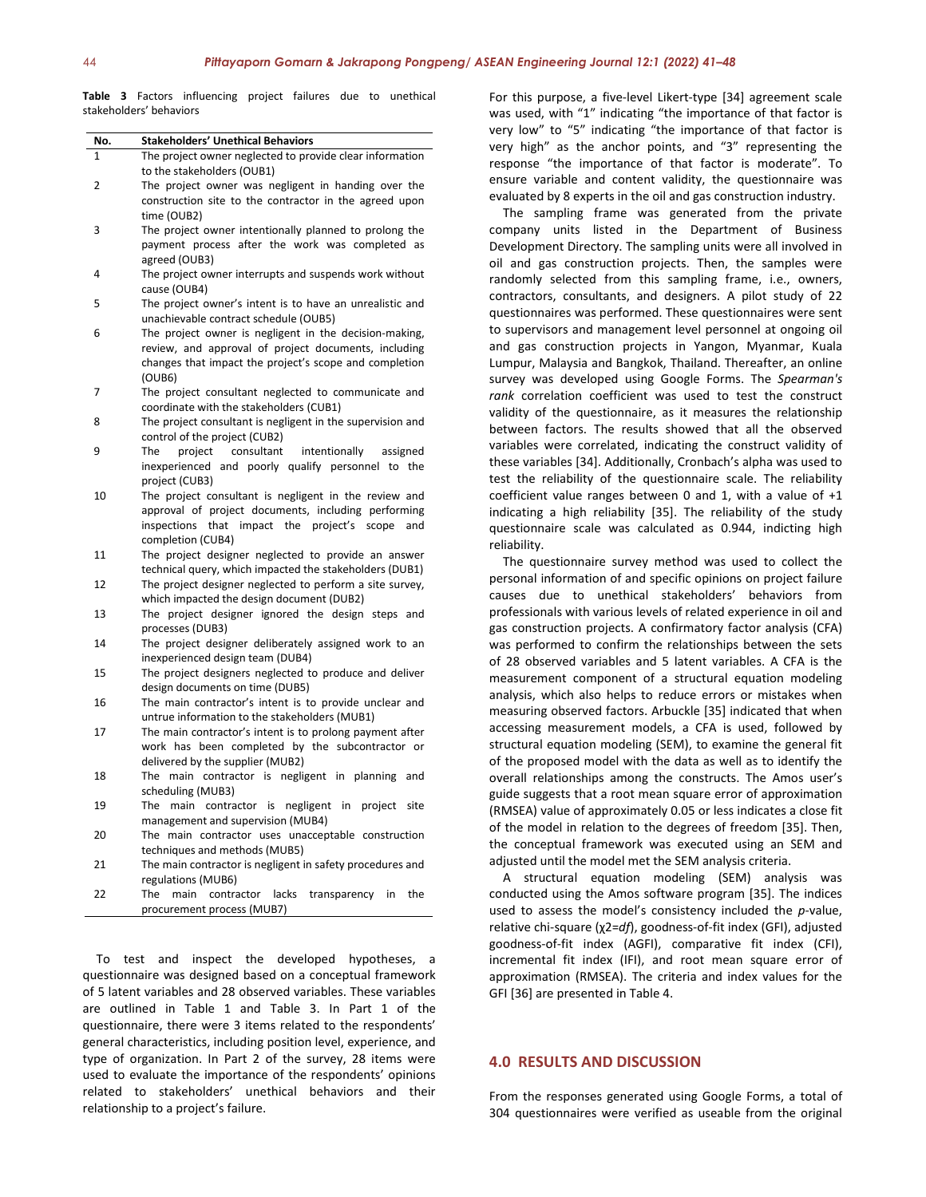**Table 3** Factors influencing project failures due to unethical stakeholders' behaviors

| No. | <b>Stakeholders' Unethical Behaviors</b>                        |
|-----|-----------------------------------------------------------------|
| 1   | The project owner neglected to provide clear information        |
|     | to the stakeholders (OUB1)                                      |
| 2   | The project owner was negligent in handing over the             |
|     | construction site to the contractor in the agreed upon          |
|     | time (OUB2)                                                     |
| 3   | The project owner intentionally planned to prolong the          |
|     | payment process after the work was completed as                 |
|     | agreed (OUB3)                                                   |
| 4   | The project owner interrupts and suspends work without          |
|     | cause (OUB4)                                                    |
| 5   | The project owner's intent is to have an unrealistic and        |
|     | unachievable contract schedule (OUB5)                           |
|     | The project owner is negligent in the decision-making,          |
| 6   | review, and approval of project documents, including            |
|     |                                                                 |
|     | changes that impact the project's scope and completion          |
|     | (OUB6)                                                          |
| 7   | The project consultant neglected to communicate and             |
|     | coordinate with the stakeholders (CUB1)                         |
| 8   | The project consultant is negligent in the supervision and      |
|     | control of the project (CUB2)                                   |
| 9   | consultant<br>intentionally<br>The<br>project<br>assigned       |
|     | inexperienced and poorly qualify personnel to the               |
|     | project (CUB3)                                                  |
| 10  | The project consultant is negligent in the review and           |
|     | approval of project documents, including performing             |
|     | inspections that impact the project's<br>scope<br>and           |
|     | completion (CUB4)                                               |
| 11  | The project designer neglected to provide an answer             |
|     | technical query, which impacted the stakeholders (DUB1)         |
| 12  | The project designer neglected to perform a site survey,        |
|     | which impacted the design document (DUB2)                       |
| 13  | The project designer ignored the design steps and               |
|     | processes (DUB3)                                                |
| 14  | The project designer deliberately assigned work to an           |
|     | inexperienced design team (DUB4)                                |
| 15  | The project designers neglected to produce and deliver          |
|     | design documents on time (DUB5)                                 |
| 16  |                                                                 |
|     | The main contractor's intent is to provide unclear and          |
|     | untrue information to the stakeholders (MUB1)                   |
| 17  | The main contractor's intent is to prolong payment after        |
|     | work has been completed by the subcontractor or                 |
|     | delivered by the supplier (MUB2)                                |
| 18  | The main contractor is negligent in planning and                |
|     | scheduling (MUB3)                                               |
| 19  | The<br>main contractor is negligent in project<br>site          |
|     | management and supervision (MUB4)                               |
| 20  | The main contractor uses unacceptable construction              |
|     | techniques and methods (MUB5)                                   |
| 21  | The main contractor is negligent in safety procedures and       |
|     | regulations (MUB6)                                              |
| 22  | The<br>lacks<br>main<br>contractor<br>the<br>transparency<br>in |
|     |                                                                 |

To test and inspect the developed hypotheses, a questionnaire was designed based on a conceptual framework of 5 latent variables and 28 observed variables. These variables are outlined in Table 1 and Table 3. In Part 1 of the questionnaire, there were 3 items related to the respondents' general characteristics, including position level, experience, and type of organization. In Part 2 of the survey, 28 items were used to evaluate the importance of the respondents' opinions related to stakeholders' unethical behaviors and their relationship to a project's failure.

For this purpose, a five-level Likert-type [34] agreement scale was used, with "1" indicating "the importance of that factor is very low" to "5" indicating "the importance of that factor is very high" as the anchor points, and "3" representing the response "the importance of that factor is moderate". To ensure variable and content validity, the questionnaire was evaluated by 8 experts in the oil and gas construction industry.

The sampling frame was generated from the private company units listed in the Department of Business Development Directory. The sampling units were all involved in oil and gas construction projects. Then, the samples were randomly selected from this sampling frame, i.e., owners, contractors, consultants, and designers. A pilot study of 22 questionnaires was performed. These questionnaires were sent to supervisors and management level personnel at ongoing oil and gas construction projects in Yangon, Myanmar, Kuala Lumpur, Malaysia and Bangkok, Thailand. Thereafter, an online survey was developed using Google Forms. The *Spearman's rank* correlation coefficient was used to test the construct validity of the questionnaire, as it measures the relationship between factors. The results showed that all the observed variables were correlated, indicating the construct validity of these variables [34]. Additionally, Cronbach's alpha was used to test the reliability of the questionnaire scale. The reliability coefficient value ranges between 0 and 1, with a value of +1 indicating a high reliability [35]. The reliability of the study questionnaire scale was calculated as 0.944, indicting high reliability.

The questionnaire survey method was used to collect the personal information of and specific opinions on project failure causes due to unethical stakeholders' behaviors from professionals with various levels of related experience in oil and gas construction projects. A confirmatory factor analysis (CFA) was performed to confirm the relationships between the sets of 28 observed variables and 5 latent variables. A CFA is the measurement component of a structural equation modeling analysis, which also helps to reduce errors or mistakes when measuring observed factors. Arbuckle [35] indicated that when accessing measurement models, a CFA is used, followed by structural equation modeling (SEM), to examine the general fit of the proposed model with the data as well as to identify the overall relationships among the constructs. The Amos user's guide suggests that a root mean square error of approximation (RMSEA) value of approximately 0.05 or less indicates a close fit of the model in relation to the degrees of freedom [35]. Then, the conceptual framework was executed using an SEM and adjusted until the model met the SEM analysis criteria.

A structural equation modeling (SEM) analysis was conducted using the Amos software program [35]. The indices used to assess the model's consistency included the *p*-value, relative chi-square (χ2=*df*), goodness-of-fit index (GFI), adjusted goodness-of-fit index (AGFI), comparative fit index (CFI), incremental fit index (IFI), and root mean square error of approximation (RMSEA). The criteria and index values for the GFI [36] are presented in Table 4.

### **4.0 RESULTS AND DISCUSSION**

From the responses generated using Google Forms, a total of 304 questionnaires were verified as useable from the original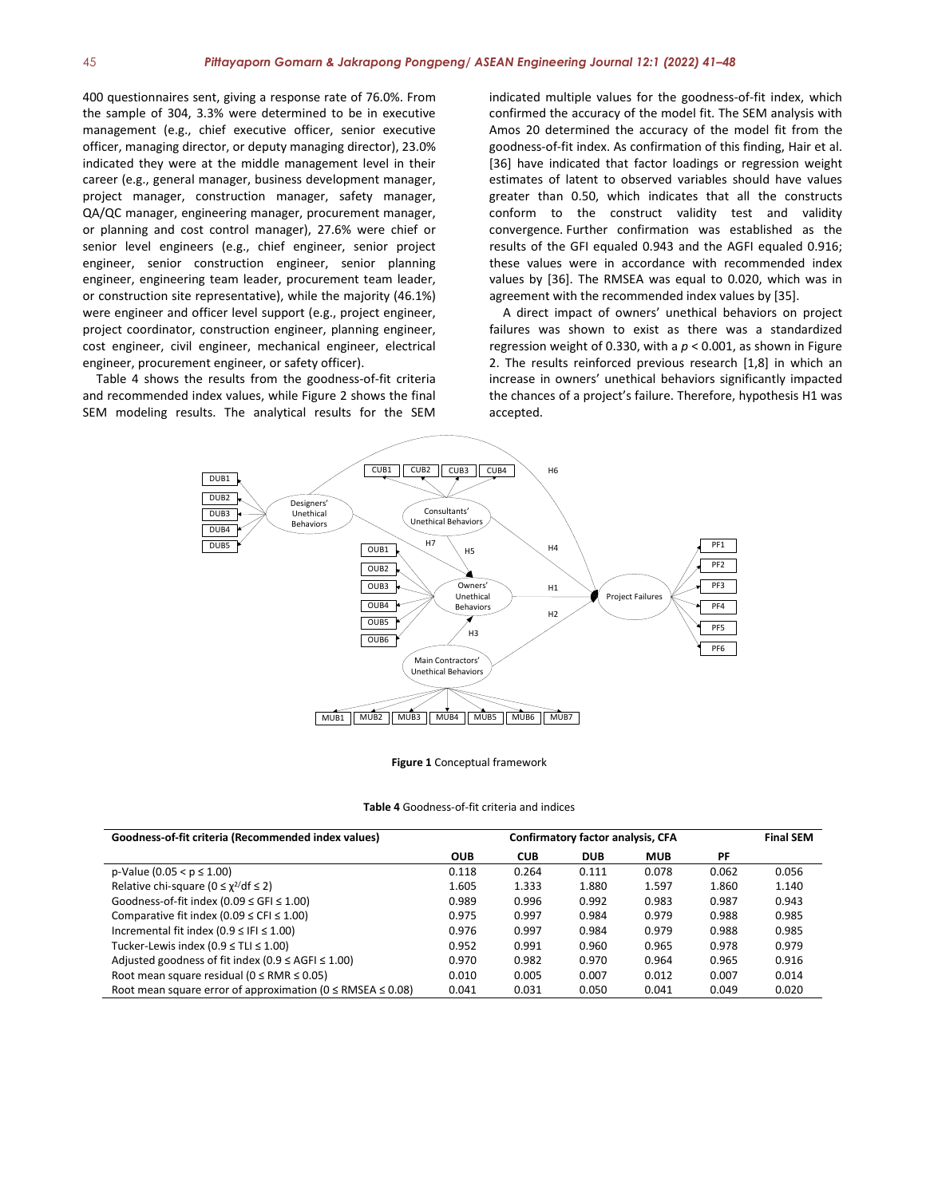400 questionnaires sent, giving a response rate of 76.0%. From the sample of 304, 3.3% were determined to be in executive management (e.g., chief executive officer, senior executive officer, managing director, or deputy managing director), 23.0% indicated they were at the middle management level in their career (e.g., general manager, business development manager, project manager, construction manager, safety manager, QA/QC manager, engineering manager, procurement manager, or planning and cost control manager), 27.6% were chief or senior level engineers (e.g., chief engineer, senior project engineer, senior construction engineer, senior planning engineer, engineering team leader, procurement team leader, or construction site representative), while the majority (46.1%) were engineer and officer level support (e.g., project engineer, project coordinator, construction engineer, planning engineer, cost engineer, civil engineer, mechanical engineer, electrical engineer, procurement engineer, or safety officer).

Table 4 shows the results from the goodness-of-fit criteria and recommended index values, while Figure 2 shows the final SEM modeling results. The analytical results for the SEM indicated multiple values for the goodness-of-fit index, which confirmed the accuracy of the model fit. The SEM analysis with Amos 20 determined the accuracy of the model fit from the goodness-of-fit index. As confirmation of this finding, Hair et al. [36] have indicated that factor loadings or regression weight estimates of latent to observed variables should have values greater than 0.50, which indicates that all the constructs conform to the construct validity test and validity convergence. Further confirmation was established as the results of the GFI equaled 0.943 and the AGFI equaled 0.916; these values were in accordance with recommended index values by [36]. The RMSEA was equal to 0.020, which was in agreement with the recommended index values by [35].

A direct impact of owners' unethical behaviors on project failures was shown to exist as there was a standardized regression weight of 0.330, with a *p* < 0.001, as shown in Figure 2. The results reinforced previous research [1,8] in which an increase in owners' unethical behaviors significantly impacted the chances of a project's failure. Therefore, hypothesis H1 was accepted.



**Figure 1** Conceptual framework

| Goodness-of-fit criteria (Recommended index values)                   | Confirmatory factor analysis, CFA |            |            |            |       | <b>Final SEM</b> |
|-----------------------------------------------------------------------|-----------------------------------|------------|------------|------------|-------|------------------|
|                                                                       | <b>OUB</b>                        | <b>CUB</b> | <b>DUB</b> | <b>MUB</b> | PF    |                  |
| $p-Value (0.05 < p \le 1.00)$                                         | 0.118                             | 0.264      | 0.111      | 0.078      | 0.062 | 0.056            |
| Relative chi-square ( $0 \leq \chi^2/df \leq 2$ )                     | 1.605                             | 1.333      | 1.880      | 1.597      | 1.860 | 1.140            |
| Goodness-of-fit index (0.09 $\le$ GFI $\le$ 1.00)                     | 0.989                             | 0.996      | 0.992      | 0.983      | 0.987 | 0.943            |
| Comparative fit index (0.09 $\leq$ CFI $\leq$ 1.00)                   | 0.975                             | 0.997      | 0.984      | 0.979      | 0.988 | 0.985            |
| Incremental fit index (0.9 $\leq$ IFI $\leq$ 1.00)                    | 0.976                             | 0.997      | 0.984      | 0.979      | 0.988 | 0.985            |
| Tucker-Lewis index (0.9 $\leq$ TLI $\leq$ 1.00)                       | 0.952                             | 0.991      | 0.960      | 0.965      | 0.978 | 0.979            |
| Adjusted goodness of fit index (0.9 $\leq$ AGFI $\leq$ 1.00)          | 0.970                             | 0.982      | 0.970      | 0.964      | 0.965 | 0.916            |
| Root mean square residual ( $0 \leq RMR \leq 0.05$ )                  | 0.010                             | 0.005      | 0.007      | 0.012      | 0.007 | 0.014            |
| Root mean square error of approximation ( $0 \leq$ RMSEA $\leq$ 0.08) | 0.041                             | 0.031      | 0.050      | 0.041      | 0.049 | 0.020            |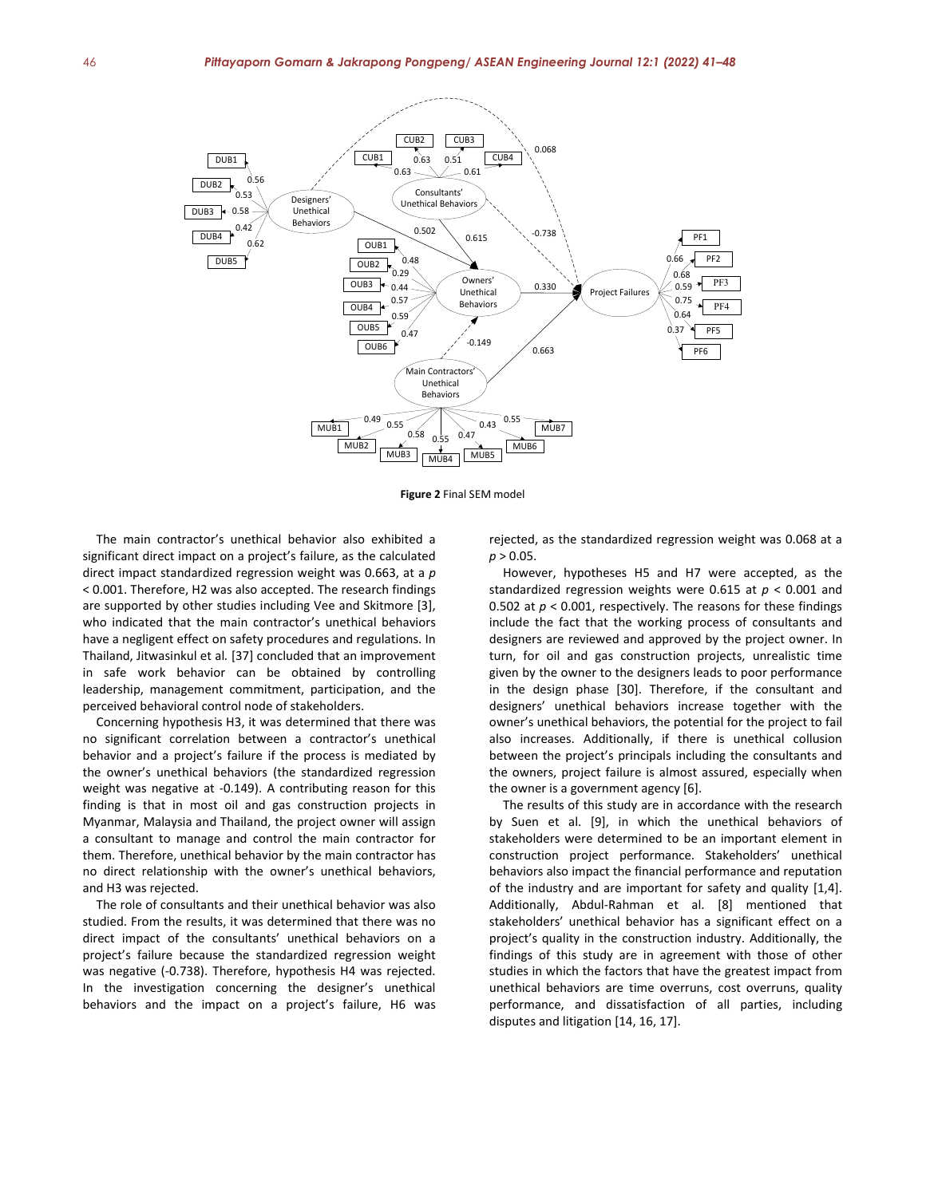

**Figure 2** Final SEM model

The main contractor's unethical behavior also exhibited a significant direct impact on a project's failure, as the calculated direct impact standardized regression weight was 0.663, at a *p* < 0.001. Therefore, H2 was also accepted. The research findings are supported by other studies including Vee and Skitmore [3], who indicated that the main contractor's unethical behaviors have a negligent effect on safety procedures and regulations. In Thailand, Jitwasinkul et al*.* [37] concluded that an improvement in safe work behavior can be obtained by controlling leadership, management commitment, participation, and the perceived behavioral control node of stakeholders.

Concerning hypothesis H3, it was determined that there was no significant correlation between a contractor's unethical behavior and a project's failure if the process is mediated by the owner's unethical behaviors (the standardized regression weight was negative at -0.149). A contributing reason for this finding is that in most oil and gas construction projects in Myanmar, Malaysia and Thailand, the project owner will assign a consultant to manage and control the main contractor for them. Therefore, unethical behavior by the main contractor has no direct relationship with the owner's unethical behaviors, and H3 was rejected.

The role of consultants and their unethical behavior was also studied. From the results, it was determined that there was no direct impact of the consultants' unethical behaviors on a project's failure because the standardized regression weight was negative (-0.738). Therefore, hypothesis H4 was rejected. In the investigation concerning the designer's unethical behaviors and the impact on a project's failure, H6 was rejected, as the standardized regression weight was 0.068 at a  $p > 0.05$ .

However, hypotheses H5 and H7 were accepted, as the standardized regression weights were 0.615 at *p* < 0.001 and 0.502 at *p* < 0.001, respectively. The reasons for these findings include the fact that the working process of consultants and designers are reviewed and approved by the project owner. In turn, for oil and gas construction projects, unrealistic time given by the owner to the designers leads to poor performance in the design phase [30]. Therefore, if the consultant and designers' unethical behaviors increase together with the owner's unethical behaviors, the potential for the project to fail also increases. Additionally, if there is unethical collusion between the project's principals including the consultants and the owners, project failure is almost assured, especially when the owner is a government agency [6].

The results of this study are in accordance with the research by Suen et al. [9], in which the unethical behaviors of stakeholders were determined to be an important element in construction project performance. Stakeholders' unethical behaviors also impact the financial performance and reputation of the industry and are important for safety and quality [1,4]. Additionally, Abdul-Rahman et al. [8] mentioned that stakeholders' unethical behavior has a significant effect on a project's quality in the construction industry. Additionally, the findings of this study are in agreement with those of other studies in which the factors that have the greatest impact from unethical behaviors are time overruns, cost overruns, quality performance, and dissatisfaction of all parties, including disputes and litigation [14, 16, 17].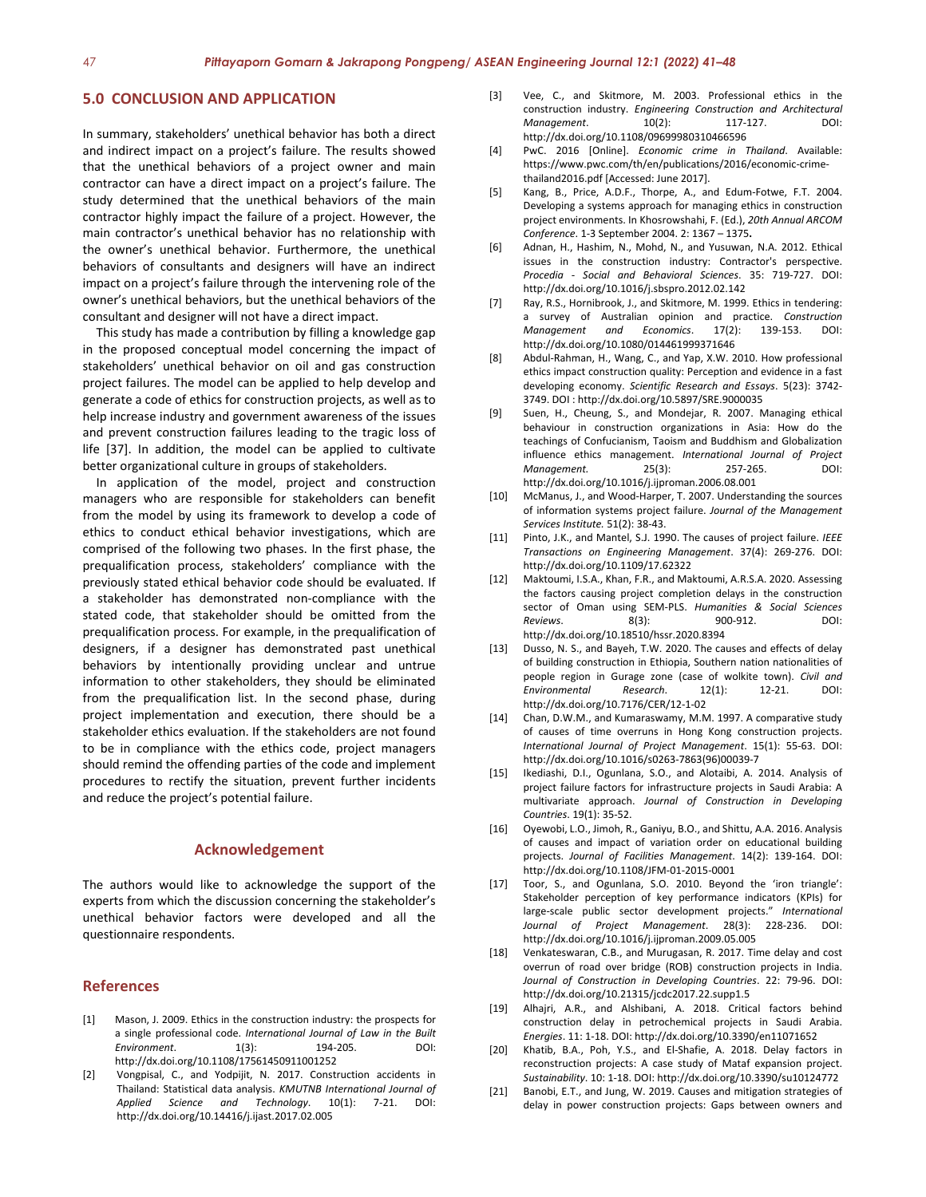#### **5.0 CONCLUSION AND APPLICATION**

In summary, stakeholders' unethical behavior has both a direct and indirect impact on a project's failure. The results showed that the unethical behaviors of a project owner and main contractor can have a direct impact on a project's failure. The study determined that the unethical behaviors of the main contractor highly impact the failure of a project. However, the main contractor's unethical behavior has no relationship with the owner's unethical behavior. Furthermore, the unethical behaviors of consultants and designers will have an indirect impact on a project's failure through the intervening role of the owner's unethical behaviors, but the unethical behaviors of the consultant and designer will not have a direct impact.

This study has made a contribution by filling a knowledge gap in the proposed conceptual model concerning the impact of stakeholders' unethical behavior on oil and gas construction project failures. The model can be applied to help develop and generate a code of ethics for construction projects, as well as to help increase industry and government awareness of the issues and prevent construction failures leading to the tragic loss of life [37]. In addition, the model can be applied to cultivate better organizational culture in groups of stakeholders.

In application of the model, project and construction managers who are responsible for stakeholders can benefit from the model by using its framework to develop a code of ethics to conduct ethical behavior investigations, which are comprised of the following two phases. In the first phase, the prequalification process, stakeholders' compliance with the previously stated ethical behavior code should be evaluated. If a stakeholder has demonstrated non-compliance with the stated code, that stakeholder should be omitted from the prequalification process. For example, in the prequalification of designers, if a designer has demonstrated past unethical behaviors by intentionally providing unclear and untrue information to other stakeholders, they should be eliminated from the prequalification list. In the second phase, during project implementation and execution, there should be a stakeholder ethics evaluation. If the stakeholders are not found to be in compliance with the ethics code, project managers should remind the offending parties of the code and implement procedures to rectify the situation, prevent further incidents and reduce the project's potential failure.

#### **Acknowledgement**

The authors would like to acknowledge the support of the experts from which the discussion concerning the stakeholder's unethical behavior factors were developed and all the questionnaire respondents.

# **References**

- [1] Mason, J. 2009. Ethics in the construction industry: the prospects for a single professional code. *International Journal of Law in the Built Environment*. 1(3): 194-205. DOI: http://dx.doi.org[/10.1108/17561450911001252](https://doi.org/10.1108/17561450911001252)
- [2] Vongpisal, C., and Yodpijit, N. 2017. Construction accidents in Thailand: Statistical data analysis. *KMUTNB International Journal of Applied Science and Technology*. 10(1): 7-21. DOI: http://dx.doi.org/10.14416/j.ijast.2017.02.005
- [3] Vee, C., and Skitmore, M. 2003. Professional ethics in the construction industry. *Engineering Construction and Architectural Management*. 10(2): 117-127. DOI: http://dx.doi.org[/10.1108/09699980310466596](https://doi.org/10.1108/09699980310466596)
- [4] PwC. 2016 [Online]. *Economic crime in Thailand*. Available: https://www.pwc.com/th/en/publications/2016/economic-crimethailand2016.pdf [Accessed: June 2017].
- [5] Kang, B., Price, A.D.F., Thorpe, A., and Edum-Fotwe, F.T. 2004. Developing a systems approach for managing ethics in construction project environments. In Khosrowshahi, F. (Ed.), *20th Annual ARCOM Conference*. 1-3 September 2004. 2: 1367 – 1375**.**
- [6] Adnan, H., Hashim, N., Mohd, N., and Yusuwan, N.A. 2012. Ethical issues in the construction industry: Contractor's perspective. *Procedia - Social and Behavioral Sciences*. 35: 719-727. DOI: http://dx.doi.org/10.1016/j.sbspro.2012.02.142
- [7] Ray, R.S., Hornibrook, J., and Skitmore, M. 1999. Ethics in tendering: a survey of Australian opinion and practice. *Construction Management and Economics*. 17(2): 139-153. DOI: http://dx.doi.org[/10.1080/014461999371646](https://doi.org/10.1080/014461999371646)
- [8] Abdul-Rahman, H., Wang, C., and Yap, X.W. 2010. How professional ethics impact construction quality: Perception and evidence in a fast developing economy. *Scientific Research and Essays*. 5(23): 3742- 3749. DOI : http://dx.doi.org/10.5897/SRE.9000035
- [9] Suen, H., Cheung, S., and Mondejar, R. 2007. Managing ethical behaviour in construction organizations in Asia: How do the teachings of Confucianism, Taoism and Buddhism and Globalization influence ethics management. *International Journal of Project Management.* 25(3): 257-265. DOI: http://dx.doi.org[/10.1016/j.ijproman.2006.08.001](https://doi.org/10.1016/j.ijproman.2006.08.001)
- [10] McManus, J., and Wood-Harper, T. 2007. Understanding the sources of information systems project failure. *Journal of the Management Services Institute.* 51(2): 38-43.
- [11] Pinto, J.K., and Mantel, S.J. 1990. The causes of project failure. *IEEE Transactions on Engineering Management*. 37(4): 269-276. DOI: http://dx.doi.org[/10.1109/17.62322](https://doi.org/10.1109/17.62322)
- [12] Maktoumi, I.S.A., Khan, F.R., and Maktoumi, A.R.S.A. 2020. Assessing the factors causing project completion delays in the construction sector of Oman using SEM-PLS. *Humanities & Social Sciences Reviews*. 8(3): 900-912. DOI: http://dx.doi.org/10.18510/hssr.2020.8394
- [13] Dusso, N. S., and Bayeh, T.W. 2020. The causes and effects of delay of building construction in Ethiopia, Southern nation nationalities of people region in Gurage zone (case of wolkite town). *Civil and Environmental Research*. 12(1): 12-21. DOI: http://dx.doi.org/10.7176/CER/12-1-02
- [14] Chan, D.W.M., and Kumaraswamy, M.M. 1997. A comparative study of causes of time overruns in Hong Kong construction projects. *International Journal of Project Management*. 15(1): 55-63. DOI: http://dx.doi.org[/10.1016/s0263-7863\(96\)00039-7](https://doi.org/10.1016/s0263-7863(96)00039-7)
- [15] Ikediashi, D.I., Ogunlana, S.O., and Alotaibi, A. 2014. Analysis of project failure factors for infrastructure projects in Saudi Arabia: A multivariate approach. *Journal of Construction in Developing Countries*. 19(1): 35-52.
- [16] [Oyewobi,](http://www.emeraldinsight.com/author/Oyewobi%2C+Luqman+Oyekunle) L.O.[, Jimoh,](http://www.emeraldinsight.com/author/Jimoh%2C+Richard) R.[, Ganiyu,](http://www.emeraldinsight.com/author/Ganiyu%2C+Bashir+Olanrewaju) B.O., an[d Shittu,](http://www.emeraldinsight.com/author/Shittu%2C+Abdullateef+Adewale) A.A. 2016. Analysis of causes and impact of variation order on educational building projects. *Journal of Facilities Management*. 14(2): 139-164. DOI: http://dx.doi.org[/10.1108/JFM-01-2015-0001](https://doi.org/10.1108/JFM-01-2015-0001)
- [17] Toor, S., and Ogunlana, S.O. 2010. Beyond the 'iron triangle': Stakeholder perception of key performance indicators (KPIs) for large-scale public sector development projects." *International Journal of Project Management*. 28(3): 228-236. DOI: http://dx.doi.org[/10.1016/j.ijproman.2009.05.005](https://doi.org/10.1016/j.ijproman.2009.05.005)
- [18] Venkateswaran, C.B., and Murugasan, R. 2017. Time delay and cost overrun of road over bridge (ROB) construction projects in India. *Journal of Construction in Developing Countries*. 22: 79-96. DOI: http://dx.doi.org/10.21315/jcdc2017.22.supp1.5
- [19] Alhajri, A.R., and Alshibani, A. 2018. Critical factors behind construction delay in petrochemical projects in Saudi Arabia. *Energies*. 11: 1-18. DOI: http://dx.doi.org/10.3390/en11071652
- [20] Khatib, B.A., Poh, Y.S., and El-Shafie, A. 2018. Delay factors in reconstruction projects: A case study of Mataf expansion project. *Sustainability*. 10: 1-18. DOI: http://dx.doi.org/10.3390/su10124772
- [21] Banobi, E.T., and Jung, W. 2019. Causes and mitigation strategies of delay in power construction projects: Gaps between owners and